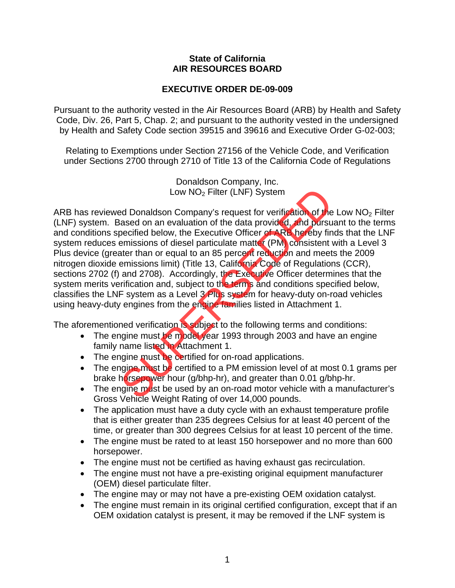## **State of California AIR RESOURCES BOARD**

## **EXECUTIVE ORDER DE-09-009**

Pursuant to the authority vested in the Air Resources Board (ARB) by Health and Safety Code, Div. 26, Part 5, Chap. 2; and pursuant to the authority vested in the undersigned by Health and Safety Code section 39515 and 39616 and Executive Order G-02-003;

Relating to Exemptions under Section 27156 of the Vehicle Code, and Verification under Sections 2700 through 2710 of Title 13 of the California Code of Regulations

> Donaldson Company, Inc. Low NO2 Filter (LNF) System

ARB has reviewed Donaldson Company's request for verification of the Low NO<sub>2</sub> Filter (LNF) system. Based on an evaluation of the data provided, and pursuant to the terms and conditions specified below, the Executive Officer of ARB hereby finds that the LNF system reduces emissions of diesel particulate matter (PM) consistent with a Level 3 Plus device (greater than or equal to an 85 percent reduction and meets the 2009 nitrogen dioxide emissions limit) (Title 13, California Code of Regulations (CCR), sections 2702 (f) and 2708). Accordingly, the Executive Officer determines that the system merits verification and, subject to the terms and conditions specified below, classifies the LNF system as a Level 3 Plus system for heavy-duty on-road vehicles using heavy-duty engines from the engine families listed in Attachment 1. Low NO<sub>2</sub> Filter (LNF) System<br>
and Donaldson Company's request for verification of the<br>
ased on an evaluation of the data provided, and pursu<br>
becified below, the Executive Officer of ARB hereby fin<br>
memissions of diesel

The aforementioned verification is subject to the following terms and conditions:

- The engine must be model year 1993 through 2003 and have an engine family name listed in Attachment 1.
- The engine must be certified for on-road applications.
- The engine must be certified to a PM emission level of at most 0.1 grams per brake horsepower hour (g/bhp-hr), and greater than 0.01 g/bhp-hr.
- The engine must be used by an on-road motor vehicle with a manufacturer's Gross Vehicle Weight Rating of over 14,000 pounds.
- The application must have a duty cycle with an exhaust temperature profile that is either greater than 235 degrees Celsius for at least 40 percent of the time, or greater than 300 degrees Celsius for at least 10 percent of the time.
- The engine must be rated to at least 150 horsepower and no more than 600 horsepower.
- The engine must not be certified as having exhaust gas recirculation.
- The engine must not have a pre-existing original equipment manufacturer (OEM) diesel particulate filter.
- The engine may or may not have a pre-existing OEM oxidation catalyst.
- The engine must remain in its original certified configuration, except that if an OEM oxidation catalyst is present, it may be removed if the LNF system is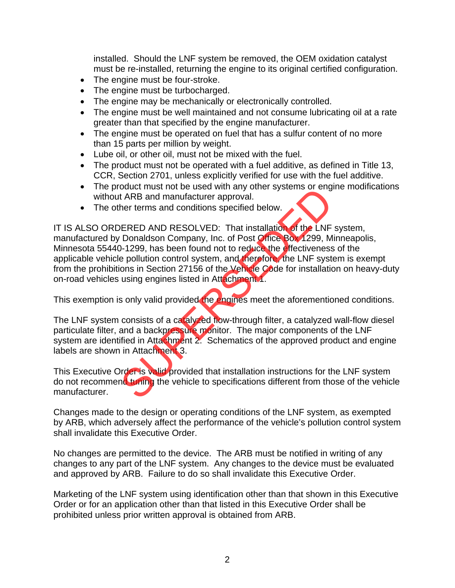installed. Should the LNF system be removed, the OEM oxidation catalyst must be re-installed, returning the engine to its original certified configuration.

- The engine must be four-stroke.
- The engine must be turbocharged.
- The engine may be mechanically or electronically controlled.
- The engine must be well maintained and not consume lubricating oil at a rate greater than that specified by the engine manufacturer.
- The engine must be operated on fuel that has a sulfur content of no more than 15 parts per million by weight.
- Lube oil, or other oil, must not be mixed with the fuel.
- The product must not be operated with a fuel additive, as defined in Title 13, CCR, Section 2701, unless explicitly verified for use with the fuel additive.
- The product must not be used with any other systems or engine modifications without ARB and manufacturer approval.
- The other terms and conditions specified below.

IT IS ALSO ORDERED AND RESOLVED: That installation of the LNF system, manufactured by Donaldson Company, Inc. of Post Office Box 1299, Minneapolis, Minnesota 55440-1299, has been found not to reduce the effectiveness of the applicable vehicle pollution control system, and therefore, the LNF system is exempt from the prohibitions in Section 27156 of the Vehicle Code for installation on heavy-duty on-road vehicles using engines listed in Attachment 1. between the state and manufacturer approval.<br>
The terms and conditions specified below.<br>
The terms and conditions specified below.<br>
ERED AND RESOLVED: That installation of the LNF<br>
Donaldson Company, Inc. of Post Office Bo

This exemption is only valid provided the engines meet the aforementioned conditions.

The LNF system consists of a catalyzed flow-through filter, a catalyzed wall-flow diesel particulate filter, and a backpressure monitor. The major components of the LNF system are identified in Attachment 2. Schematics of the approved product and engine labels are shown in Attachment 3.

This Executive Order is valid provided that installation instructions for the LNF system do not recommend tuning the vehicle to specifications different from those of the vehicle manufacturer.

Changes made to the design or operating conditions of the LNF system, as exempted by ARB, which adversely affect the performance of the vehicle's pollution control system shall invalidate this Executive Order.

No changes are permitted to the device. The ARB must be notified in writing of any changes to any part of the LNF system. Any changes to the device must be evaluated and approved by ARB. Failure to do so shall invalidate this Executive Order.

Marketing of the LNF system using identification other than that shown in this Executive Order or for an application other than that listed in this Executive Order shall be prohibited unless prior written approval is obtained from ARB.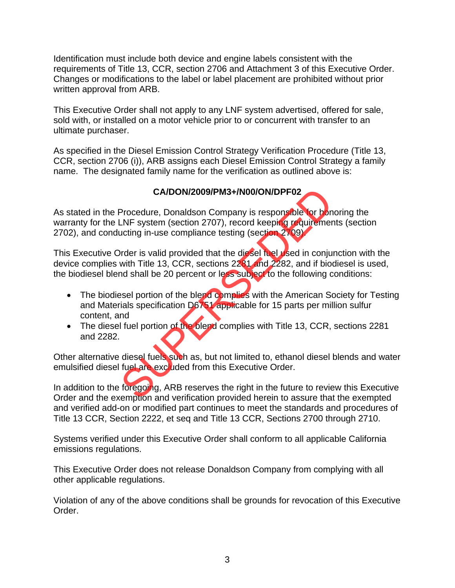Identification must include both device and engine labels consistent with the requirements of Title 13, CCR, section 2706 and Attachment 3 of this Executive Order. Changes or modifications to the label or label placement are prohibited without prior written approval from ARB.

This Executive Order shall not apply to any LNF system advertised, offered for sale, sold with, or installed on a motor vehicle prior to or concurrent with transfer to an ultimate purchaser.

As specified in the Diesel Emission Control Strategy Verification Procedure (Title 13, CCR, section 2706 (i)), ARB assigns each Diesel Emission Control Strategy a family name. The designated family name for the verification as outlined above is:

## **CA/DON/2009/PM3+/N00/ON/DPF02**

As stated in the Procedure, Donaldson Company is responsible for honoring the warranty for the LNF system (section 2707), record keeping requirements (section 2702), and conducting in-use compliance testing (section 2709). CA/DON/2009/PM3+/N00/ON/DPF02<br>Procedure, Donaldson Company is responsible for bon<br>-NF system (section 2707), record keeping requirement<br>ucting in-use compliance testing (section 2709)<br>with Title 13, CCR, sections 2281 and

This Executive Order is valid provided that the diesel fuel used in conjunction with the device complies with Title 13, CCR, sections 2281 and 2282, and if biodiesel is used, the biodiesel blend shall be 20 percent or less subject to the following conditions:

- The biodiesel portion of the blend complies with the American Society for Testing and Materials specification D6751 applicable for 15 parts per million sulfur content, and
- The diesel fuel portion of the blend complies with Title 13, CCR, sections 2281 and 2282.

Other alternative diesel fuels such as, but not limited to, ethanol diesel blends and water emulsified diesel fuel are excluded from this Executive Order.

In addition to the foregoing, ARB reserves the right in the future to review this Executive Order and the exemption and verification provided herein to assure that the exempted and verified add-on or modified part continues to meet the standards and procedures of Title 13 CCR, Section 2222, et seq and Title 13 CCR, Sections 2700 through 2710.

Systems verified under this Executive Order shall conform to all applicable California emissions regulations.

This Executive Order does not release Donaldson Company from complying with all other applicable regulations.

Violation of any of the above conditions shall be grounds for revocation of this Executive Order.